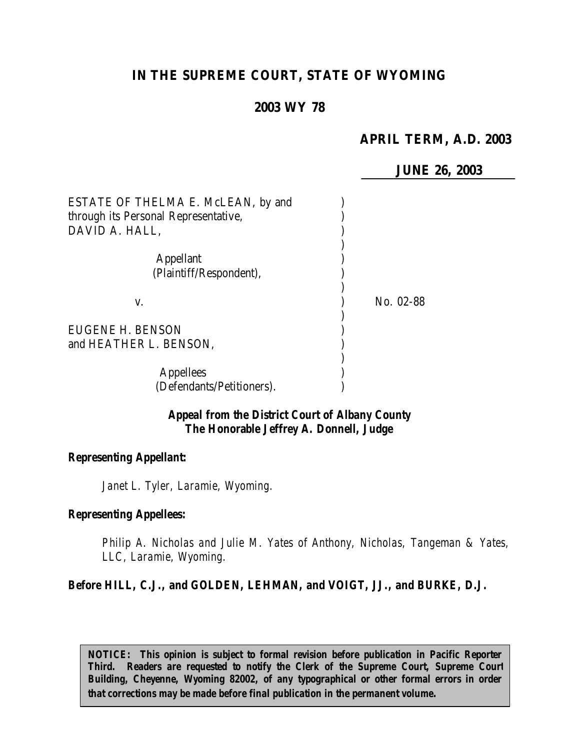# **IN THE SUPREME COURT, STATE OF WYOMING**

## **2003 WY 78**

### **APRIL TERM, A.D. 2003**

**JUNE 26, 2003**

| ESTATE OF THELMA E. McLEAN, by and<br>through its Personal Representative,<br>DAVID A. HALL, |           |
|----------------------------------------------------------------------------------------------|-----------|
| <b>Appellant</b><br>(Plaintiff/Respondent),                                                  |           |
| V.                                                                                           | No. 02-88 |
| EUGENE H. BENSON<br>and HEATHER L. BENSON,                                                   |           |
| <b>Appellees</b><br>(Defendants/Petitioners).                                                |           |

### *Appeal from the District Court of Albany County The Honorable Jeffrey A. Donnell, Judge*

#### *Representing Appellant:*

*Janet L. Tyler, Laramie, Wyoming.*

### *Representing Appellees:*

*Philip A. Nicholas and Julie M. Yates of Anthony, Nicholas, Tangeman & Yates, LLC, Laramie, Wyoming.*

### *Before HILL, C.J., and GOLDEN, LEHMAN, and VOIGT, JJ., and BURKE, D.J.*

*NOTICE: This opinion is subject to formal revision before publication in Pacific Reporter Third. Readers are requested to notify the Clerk of the Supreme Court, Supreme Court Building, Cheyenne, Wyoming 82002, of any typographical or other formal errors in order that corrections may be made before final publication in the permanent volume.*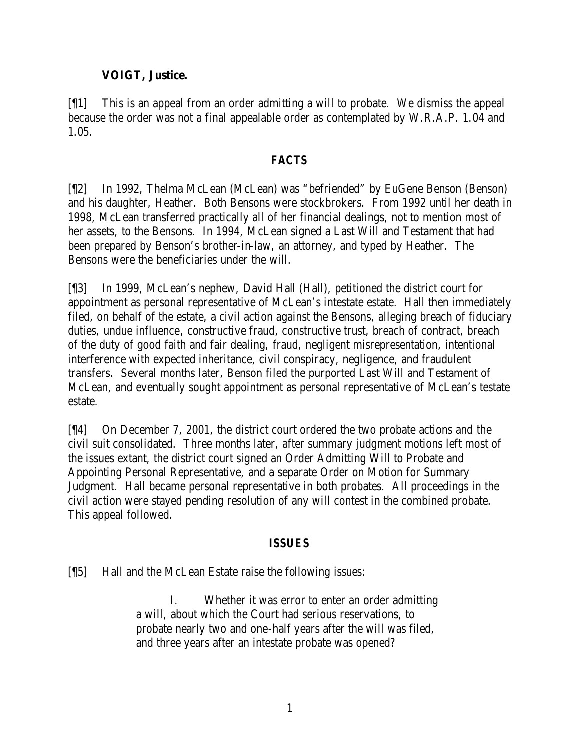## **VOIGT, Justice.**

[¶1] This is an appeal from an order admitting a will to probate. We dismiss the appeal because the order was not a final appealable order as contemplated by W.R.A.P. 1.04 and 1.05.

### *FACTS*

[¶2] In 1992, Thelma McLean (McLean) was "befriended" by EuGene Benson (Benson) and his daughter, Heather. Both Bensons were stockbrokers. From 1992 until her death in 1998, McLean transferred practically all of her financial dealings, not to mention most of her assets, to the Bensons. In 1994, McLean signed a Last Will and Testament that had been prepared by Benson's brother-in-law, an attorney, and typed by Heather. The Bensons were the beneficiaries under the will.

[¶3] In 1999, McLean's nephew, David Hall (Hall), petitioned the district court for appointment as personal representative of McLean's intestate estate. Hall then immediately filed, on behalf of the estate, a civil action against the Bensons, alleging breach of fiduciary duties, undue influence, constructive fraud, constructive trust, breach of contract, breach of the duty of good faith and fair dealing, fraud, negligent misrepresentation, intentional interference with expected inheritance, civil conspiracy, negligence, and fraudulent transfers. Several months later, Benson filed the purported Last Will and Testament of McLean, and eventually sought appointment as personal representative of McLean's testate estate.

[¶4] On December 7, 2001, the district court ordered the two probate actions and the civil suit consolidated. Three months later, after summary judgment motions left most of the issues extant, the district court signed an Order Admitting Will to Probate and Appointing Personal Representative, and a separate Order on Motion for Summary Judgment. Hall became personal representative in both probates. All proceedings in the civil action were stayed pending resolution of any will contest in the combined probate. This appeal followed.

# *ISSUES*

[¶5] Hall and the McLean Estate raise the following issues:

I. Whether it was error to enter an order admitting a will, about which the Court had serious reservations, to probate nearly two and one-half years after the will was filed, and three years after an intestate probate was opened?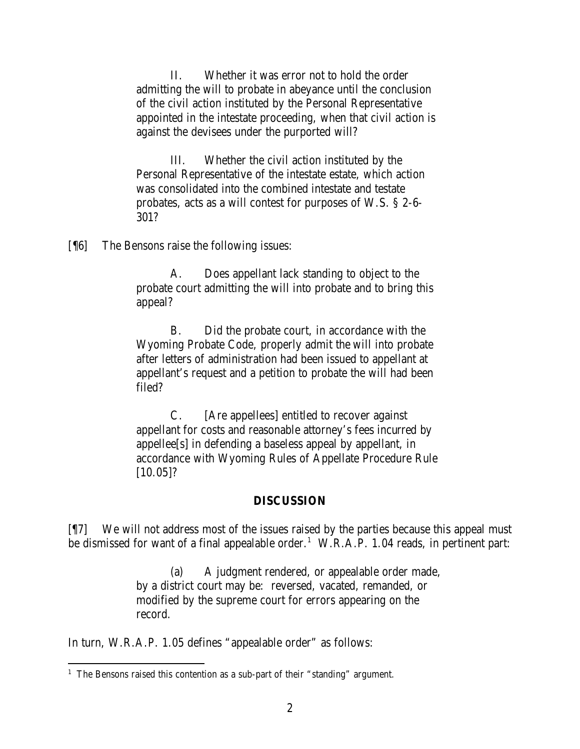II. Whether it was error not to hold the order admitting the will to probate in abeyance until the conclusion of the civil action instituted by the Personal Representative appointed in the intestate proceeding, when that civil action is against the devisees under the purported will?

III. Whether the civil action instituted by the Personal Representative of the intestate estate, which action was consolidated into the combined intestate and testate probates, acts as a will contest for purposes of W.S. § 2-6- 301?

[¶6] The Bensons raise the following issues:

A. Does appellant lack standing to object to the probate court admitting the will into probate and to bring this appeal?

B. Did the probate court, in accordance with the Wyoming Probate Code, properly admit the will into probate after letters of administration had been issued to appellant at appellant's request and a petition to probate the will had been filed?

C. [Are appellees] entitled to recover against appellant for costs and reasonable attorney's fees incurred by appellee[s] in defending a baseless appeal by appellant, in accordance with Wyoming Rules of Appellate Procedure Rule [10.05]?

#### **DISCUSSION**

[¶7] We will not address most of the issues raised by the parties because this appeal must be dismissed for want of a final appealable order.<sup>1</sup> W.R.A.P. 1.04 reads, in pertinent part:

> (a) A judgment rendered, or appealable order made, by a district court may be: reversed, vacated, remanded, or modified by the supreme court for errors appearing on the record.

In turn, W.R.A.P. 1.05 defines "appealable order" as follows:

<sup>&</sup>lt;sup>1</sup> The Bensons raised this contention as a sub-part of their "standing" argument.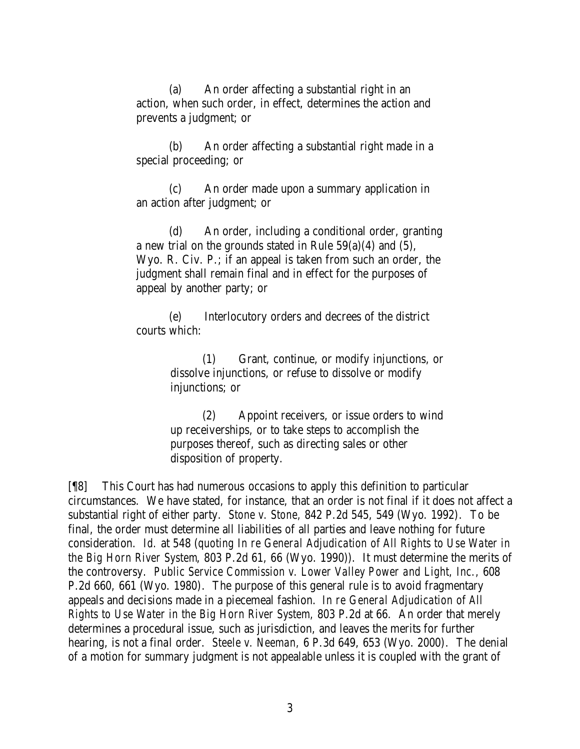(a) An order affecting a substantial right in an action, when such order, in effect, determines the action and prevents a judgment; or

(b) An order affecting a substantial right made in a special proceeding; or

(c) An order made upon a summary application in an action after judgment; or

(d) An order, including a conditional order, granting a new trial on the grounds stated in Rule 59(a)(4) and (5), Wyo. R. Civ. P.; if an appeal is taken from such an order, the judgment shall remain final and in effect for the purposes of appeal by another party; or

(e) Interlocutory orders and decrees of the district courts which:

> (1) Grant, continue, or modify injunctions, or dissolve injunctions, or refuse to dissolve or modify injunctions; or

> (2) Appoint receivers, or issue orders to wind up receiverships, or to take steps to accomplish the purposes thereof, such as directing sales or other disposition of property.

[¶8] This Court has had numerous occasions to apply this definition to particular circumstances. We have stated, for instance, that an order is not final if it does not affect a substantial right of either party. *Stone v. Stone,* 842 P.2d 545, 549 (Wyo. 1992). To be final, the order must determine all liabilities of all parties and leave nothing for future consideration. *Id.* at 548 (*quoting In re General Adjudication of All Rights to Use Water in the Big Horn River System*, 803 P.2d 61, 66 (Wyo. 1990)). It must determine the merits of the controversy. *Public Service Commission v. Lower Valley Power and Light, Inc.,* 608 P.2d 660, 661 (Wyo. 1980). The purpose of this general rule is to avoid fragmentary appeals and decisions made in a piecemeal fashion. *In re General Adjudication of All Rights to Use Water in the Big Horn River System,* 803 P.2d at 66. An order that merely determines a procedural issue, such as jurisdiction, and leaves the merits for further hearing, is not a final order. *Steele v. Neeman,* 6 P.3d 649, 653 (Wyo. 2000). The denial of a motion for summary judgment is not appealable unless it is coupled with the grant of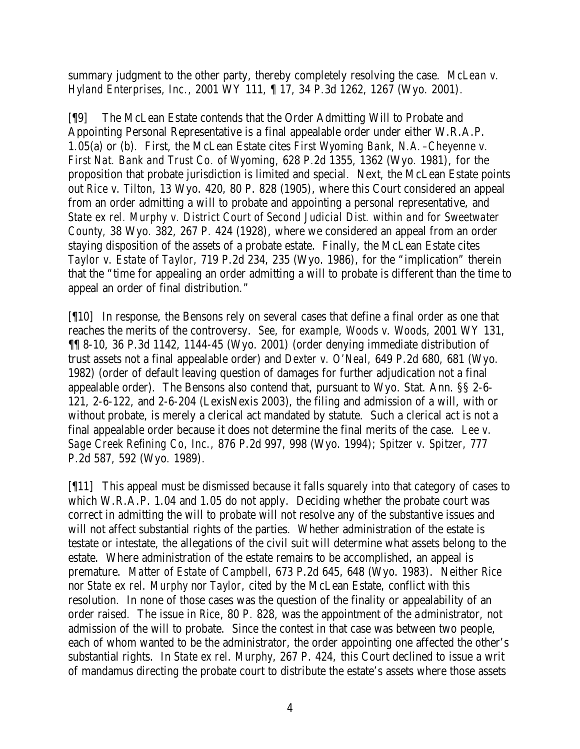summary judgment to the other party, thereby completely resolving the case. *McLean v. Hyland Enterprises, Inc.,* 2001 WY 111, ¶ 17, 34 P.3d 1262, 1267 (Wyo. 2001).

[¶9] The McLean Estate contends that the Order Admitting Will to Probate and Appointing Personal Representative is a final appealable order under either W.R.A.P. 1.05(a) or (b). First, the McLean Estate cites *First Wyoming Bank, N.A.–Cheyenne v. First Nat. Bank and Trust Co. of Wyoming,* 628 P.2d 1355, 1362 (Wyo. 1981), for the proposition that probate jurisdiction is limited and special. Next, the McLean Estate points out *Rice v. Tilton,* 13 Wyo. 420, 80 P. 828 (1905), where this Court considered an appeal from an order admitting a will to probate and appointing a personal representative, and *State ex rel. Murphy v. District Court of Second Judicial Dist. within and for Sweetwater County,* 38 Wyo. 382, 267 P. 424 (1928), where we considered an appeal from an order staying disposition of the assets of a probate estate. Finally, the McLean Estate cites *Taylor v. Estate of Taylor,* 719 P.2d 234, 235 (Wyo. 1986), for the "implication" therein that the "time for appealing an order admitting a will to probate is different than the time to appeal an order of final distribution."

[¶10] In response, the Bensons rely on several cases that define a final order as one that reaches the merits of the controversy. *See, for example, Woods v. Woods,* 2001 WY 131, ¶¶ 8-10, 36 P.3d 1142, 1144-45 (Wyo. 2001) (order denying immediate distribution of trust assets not a final appealable order) and *Dexter v. O'Neal,* 649 P.2d 680, 681 (Wyo. 1982) (order of default leaving question of damages for further adjudication not a final appealable order). The Bensons also contend that, pursuant to Wyo. Stat. Ann. §§ 2-6- 121, 2-6-122, and 2-6-204 (LexisNexis 2003), the filing and admission of a will, with or without probate, is merely a clerical act mandated by statute. Such a clerical act is not a final appealable order because it does not determine the final merits of the case. *Lee v. Sage Creek Refining Co, Inc.,* 876 P.2d 997, 998 (Wyo. 1994); *Spitzer v. Spitzer,* 777 P.2d 587, 592 (Wyo. 1989).

[¶11] This appeal must be dismissed because it falls squarely into that category of cases to which W.R.A.P. 1.04 and 1.05 do not apply. Deciding whether the probate court was correct in admitting the will to probate will not resolve any of the substantive issues and will not affect substantial rights of the parties. Whether administration of the estate is testate or intestate, the allegations of the civil suit will determine what assets belong to the estate. Where administration of the estate remains to be accomplished, an appeal is premature. *Matter of Estate of Campbell,* 673 P.2d 645, 648 (Wyo. 1983). Neither *Rice* nor *State ex rel. Murphy* nor *Taylor*, cited by the McLean Estate, conflict with this resolution. In none of those cases was the question of the finality or appealability of an order raised. The issue in *Rice*, 80 P. 828, was the appointment of the administrator, not admission of the will to probate. Since the contest in that case was between two people, each of whom wanted to be the administrator, the order appointing one affected the other's substantial rights. In *State ex rel. Murphy*, 267 P. 424, this Court declined to issue a writ of mandamus directing the probate court to distribute the estate's assets where those assets